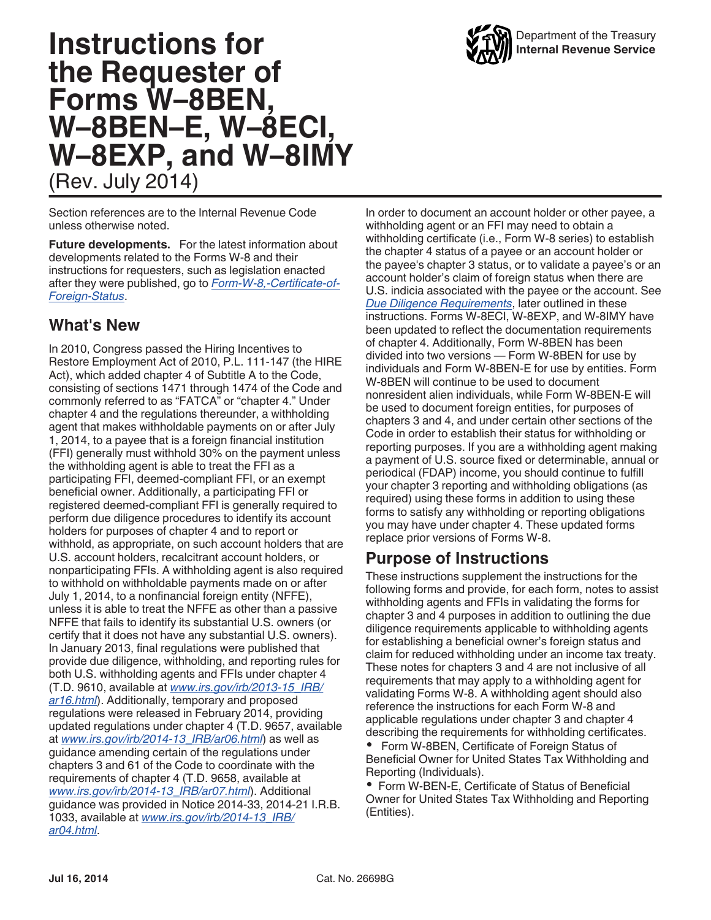# **Instructions for the Requester of Forms W–8BEN, W–8BEN–E, W–8ECI, W–8EXP, and W–8IMY** (Rev. July 2014)

Section references are to the Internal Revenue Code unless otherwise noted.

**Future developments.** For the latest information about developments related to the Forms W-8 and their instructions for requesters, such as legislation enacted after they were published, go to *[Form-W-8,-Certificate-of-](http://www.irs.gov/uac/Form-W-8,-Certificate-of-Foreign-Status)[Foreign-Status](http://www.irs.gov/uac/Form-W-8,-Certificate-of-Foreign-Status)*.

### **What's New**

In 2010, Congress passed the Hiring Incentives to Restore Employment Act of 2010, P.L. 111-147 (the HIRE Act), which added chapter 4 of Subtitle A to the Code, consisting of sections 1471 through 1474 of the Code and commonly referred to as "FATCA" or "chapter 4." Under chapter 4 and the regulations thereunder, a withholding agent that makes withholdable payments on or after July 1, 2014, to a payee that is a foreign financial institution (FFI) generally must withhold 30% on the payment unless the withholding agent is able to treat the FFI as a participating FFI, deemed-compliant FFI, or an exempt beneficial owner. Additionally, a participating FFI or registered deemed-compliant FFI is generally required to perform due diligence procedures to identify its account holders for purposes of chapter 4 and to report or withhold, as appropriate, on such account holders that are U.S. account holders, recalcitrant account holders, or nonparticipating FFIs. A withholding agent is also required to withhold on withholdable payments made on or after July 1, 2014, to a nonfinancial foreign entity (NFFE), unless it is able to treat the NFFE as other than a passive NFFE that fails to identify its substantial U.S. owners (or certify that it does not have any substantial U.S. owners). In January 2013, final regulations were published that provide due diligence, withholding, and reporting rules for both U.S. withholding agents and FFIs under chapter 4 (T.D. 9610, available at *[www.irs.gov/irb/2013-15\\_IRB/](http://www.irs.gov/irb/2013-15_IRB/ar16.html) [ar16.html](http://www.irs.gov/irb/2013-15_IRB/ar16.html)*). Additionally, temporary and proposed regulations were released in February 2014, providing updated regulations under chapter 4 (T.D. 9657, available at *[www.irs.gov/irb/2014-13\\_IRB/ar06.html](http://www.irs.gov/irb/2014-13_IRB/ar06.html)*) as well as guidance amending certain of the regulations under chapters 3 and 61 of the Code to coordinate with the requirements of chapter 4 (T.D. 9658, available at *[www.irs.gov/irb/2014-13\\_IRB/ar07.html](http://www.irs.gov/irb/2014-13_IRB/ar07.html)*). Additional guidance was provided in Notice 2014-33, 2014-21 I.R.B. 1033, available at *[www.irs.gov/irb/2014-13\\_IRB/](http://www.irs.gov/irb/2014-21_IRB/ar04.html) [ar04.html](http://www.irs.gov/irb/2014-21_IRB/ar04.html)*.

In order to document an account holder or other payee, a withholding agent or an FFI may need to obtain a withholding certificate (i.e., Form W-8 series) to establish the chapter 4 status of a payee or an account holder or the payee's chapter 3 status, or to validate a payee's or an account holder's claim of foreign status when there are U.S. indicia associated with the payee or the account. See *Due Diligence Requirements*, later outlined in these instructions. Forms W-8ECI, W-8EXP, and W-8IMY have been updated to reflect the documentation requirements of chapter 4. Additionally, Form W-8BEN has been divided into two versions — Form W-8BEN for use by individuals and Form W-8BEN-E for use by entities. Form W-8BEN will continue to be used to document nonresident alien individuals, while Form W-8BEN-E will be used to document foreign entities, for purposes of chapters 3 and 4, and under certain other sections of the Code in order to establish their status for withholding or reporting purposes. If you are a withholding agent making a payment of U.S. source fixed or determinable, annual or periodical (FDAP) income, you should continue to fulfill your chapter 3 reporting and withholding obligations (as required) using these forms in addition to using these forms to satisfy any withholding or reporting obligations you may have under chapter 4. These updated forms replace prior versions of Forms W-8.

### **Purpose of Instructions**

These instructions supplement the instructions for the following forms and provide, for each form, notes to assist withholding agents and FFIs in validating the forms for chapter 3 and 4 purposes in addition to outlining the due diligence requirements applicable to withholding agents for establishing a beneficial owner's foreign status and claim for reduced withholding under an income tax treaty. These notes for chapters 3 and 4 are not inclusive of all requirements that may apply to a withholding agent for validating Forms W-8. A withholding agent should also reference the instructions for each Form W-8 and applicable regulations under chapter 3 and chapter 4 describing the requirements for withholding certificates.

 Form W-8BEN, Certificate of Foreign Status of Beneficial Owner for United States Tax Withholding and Reporting (Individuals).

Form W-BEN-E, Certificate of Status of Beneficial Owner for United States Tax Withholding and Reporting (Entities).

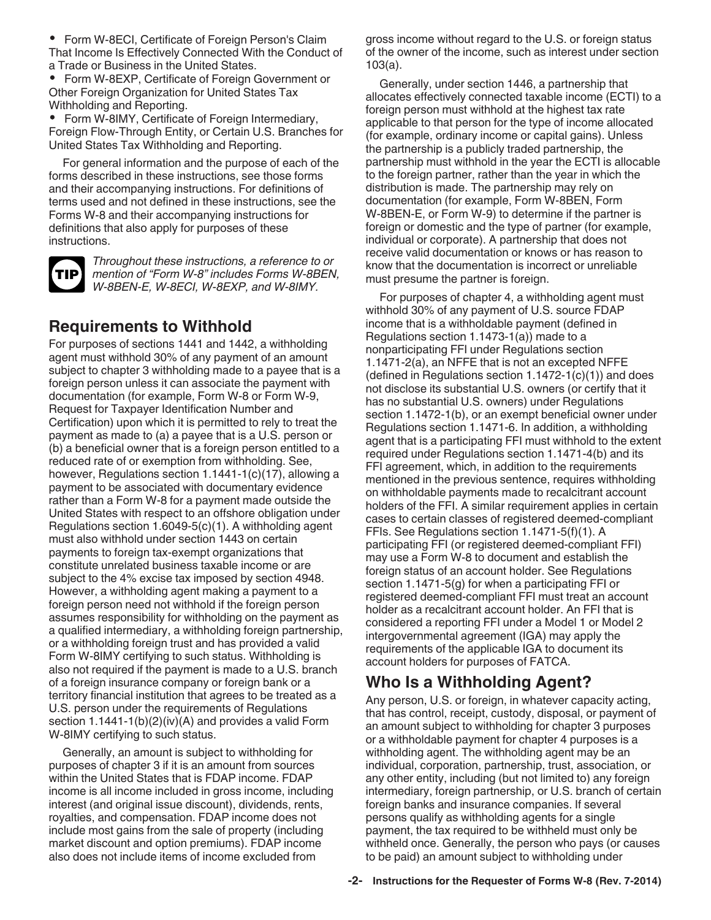Form W-8ECI, Certificate of Foreign Person's Claim That Income Is Effectively Connected With the Conduct of a Trade or Business in the United States.

 Form W-8EXP, Certificate of Foreign Government or Other Foreign Organization for United States Tax Withholding and Reporting.

 Form W-8IMY, Certificate of Foreign Intermediary, Foreign Flow-Through Entity, or Certain U.S. Branches for United States Tax Withholding and Reporting.

For general information and the purpose of each of the forms described in these instructions, see those forms and their accompanying instructions. For definitions of terms used and not defined in these instructions, see the Forms W-8 and their accompanying instructions for definitions that also apply for purposes of these instructions.



*Throughout these instructions, a reference to or mention of "Form W-8" includes Forms W-8BEN, W-8BEN-E, W-8ECI, W-8EXP, and W-8IMY.*

### **Requirements to Withhold**

For purposes of sections 1441 and 1442, a withholding agent must withhold 30% of any payment of an amount subject to chapter 3 withholding made to a payee that is a foreign person unless it can associate the payment with documentation (for example, Form W-8 or Form W-9, Request for Taxpayer Identification Number and Certification) upon which it is permitted to rely to treat the payment as made to (a) a payee that is a U.S. person or (b) a beneficial owner that is a foreign person entitled to a reduced rate of or exemption from withholding. See, however, Regulations section 1.1441-1(c)(17), allowing a payment to be associated with documentary evidence rather than a Form W-8 for a payment made outside the United States with respect to an offshore obligation under Regulations section 1.6049-5(c)(1). A withholding agent must also withhold under section 1443 on certain payments to foreign tax-exempt organizations that constitute unrelated business taxable income or are subject to the 4% excise tax imposed by section 4948. However, a withholding agent making a payment to a foreign person need not withhold if the foreign person assumes responsibility for withholding on the payment as a qualified intermediary, a withholding foreign partnership, or a withholding foreign trust and has provided a valid Form W-8IMY certifying to such status. Withholding is also not required if the payment is made to a U.S. branch of a foreign insurance company or foreign bank or a territory financial institution that agrees to be treated as a U.S. person under the requirements of Regulations section 1.1441-1(b)(2)(iv)(A) and provides a valid Form W-8IMY certifying to such status.

Generally, an amount is subject to withholding for purposes of chapter 3 if it is an amount from sources within the United States that is FDAP income. FDAP income is all income included in gross income, including interest (and original issue discount), dividends, rents, royalties, and compensation. FDAP income does not include most gains from the sale of property (including market discount and option premiums). FDAP income also does not include items of income excluded from

gross income without regard to the U.S. or foreign status of the owner of the income, such as interest under section 103(a).

Generally, under section 1446, a partnership that allocates effectively connected taxable income (ECTI) to a foreign person must withhold at the highest tax rate applicable to that person for the type of income allocated (for example, ordinary income or capital gains). Unless the partnership is a publicly traded partnership, the partnership must withhold in the year the ECTI is allocable to the foreign partner, rather than the year in which the distribution is made. The partnership may rely on documentation (for example, Form W-8BEN, Form W-8BEN-E, or Form W-9) to determine if the partner is foreign or domestic and the type of partner (for example, individual or corporate). A partnership that does not receive valid documentation or knows or has reason to know that the documentation is incorrect or unreliable must presume the partner is foreign.

For purposes of chapter 4, a withholding agent must withhold 30% of any payment of U.S. source FDAP income that is a withholdable payment (defined in Regulations section 1.1473-1(a)) made to a nonparticipating FFI under Regulations section 1.1471-2(a), an NFFE that is not an excepted NFFE (defined in Regulations section  $1.1472-1(c)(1)$ ) and does not disclose its substantial U.S. owners (or certify that it has no substantial U.S. owners) under Regulations section 1.1472-1(b), or an exempt beneficial owner under Regulations section 1.1471-6. In addition, a withholding agent that is a participating FFI must withhold to the extent required under Regulations section 1.1471-4(b) and its FFI agreement, which, in addition to the requirements mentioned in the previous sentence, requires withholding on withholdable payments made to recalcitrant account holders of the FFI. A similar requirement applies in certain cases to certain classes of registered deemed-compliant FFIs. See Regulations section 1.1471-5(f)(1). A participating FFI (or registered deemed-compliant FFI) may use a Form W-8 to document and establish the foreign status of an account holder. See Regulations section 1.1471-5(g) for when a participating FFI or registered deemed-compliant FFI must treat an account holder as a recalcitrant account holder. An FFI that is considered a reporting FFI under a Model 1 or Model 2 intergovernmental agreement (IGA) may apply the requirements of the applicable IGA to document its account holders for purposes of FATCA.

## **Who Is a Withholding Agent?**

Any person, U.S. or foreign, in whatever capacity acting, that has control, receipt, custody, disposal, or payment of an amount subject to withholding for chapter 3 purposes or a withholdable payment for chapter 4 purposes is a withholding agent. The withholding agent may be an individual, corporation, partnership, trust, association, or any other entity, including (but not limited to) any foreign intermediary, foreign partnership, or U.S. branch of certain foreign banks and insurance companies. If several persons qualify as withholding agents for a single payment, the tax required to be withheld must only be withheld once. Generally, the person who pays (or causes to be paid) an amount subject to withholding under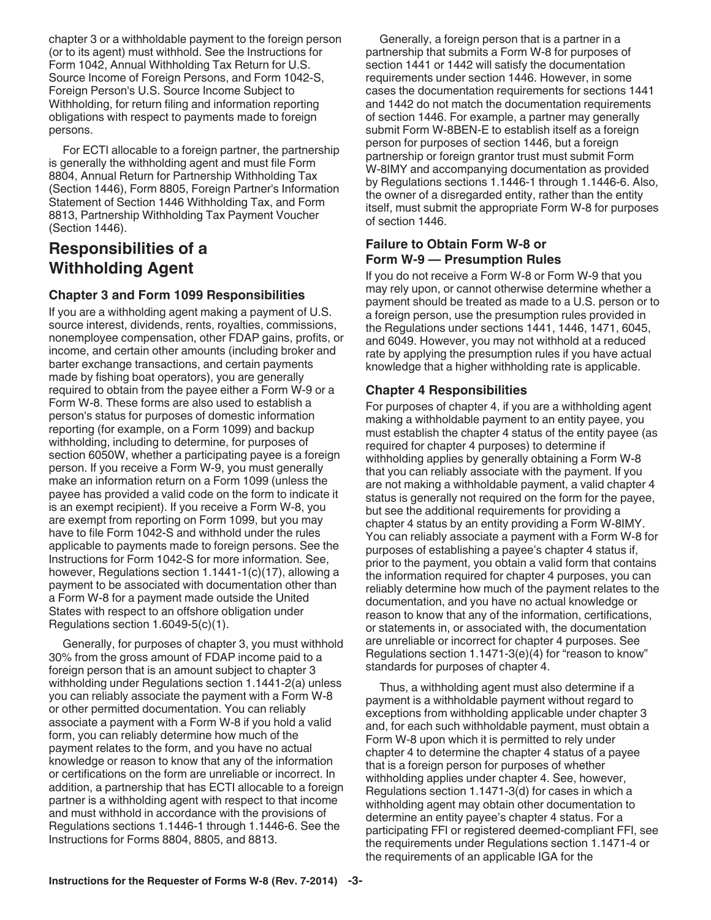chapter 3 or a withholdable payment to the foreign person (or to its agent) must withhold. See the Instructions for Form 1042, Annual Withholding Tax Return for U.S. Source Income of Foreign Persons, and Form 1042-S, Foreign Person's U.S. Source Income Subject to Withholding, for return filing and information reporting obligations with respect to payments made to foreign persons.

For ECTI allocable to a foreign partner, the partnership is generally the withholding agent and must file Form 8804, Annual Return for Partnership Withholding Tax (Section 1446), Form 8805, Foreign Partner's Information Statement of Section 1446 Withholding Tax, and Form 8813, Partnership Withholding Tax Payment Voucher (Section 1446).

### **Responsibilities of a Withholding Agent**

#### **Chapter 3 and Form 1099 Responsibilities**

If you are a withholding agent making a payment of U.S. source interest, dividends, rents, royalties, commissions, nonemployee compensation, other FDAP gains, profits, or income, and certain other amounts (including broker and barter exchange transactions, and certain payments made by fishing boat operators), you are generally required to obtain from the payee either a Form W-9 or a Form W-8. These forms are also used to establish a person's status for purposes of domestic information reporting (for example, on a Form 1099) and backup withholding, including to determine, for purposes of section 6050W, whether a participating payee is a foreign person. If you receive a Form W-9, you must generally make an information return on a Form 1099 (unless the payee has provided a valid code on the form to indicate it is an exempt recipient). If you receive a Form W-8, you are exempt from reporting on Form 1099, but you may have to file Form 1042-S and withhold under the rules applicable to payments made to foreign persons. See the Instructions for Form 1042-S for more information. See, however, Regulations section 1.1441-1(c)(17), allowing a payment to be associated with documentation other than a Form W-8 for a payment made outside the United States with respect to an offshore obligation under Regulations section 1.6049-5(c)(1).

Generally, for purposes of chapter 3, you must withhold 30% from the gross amount of FDAP income paid to a foreign person that is an amount subject to chapter 3 withholding under Regulations section 1.1441-2(a) unless you can reliably associate the payment with a Form W-8 or other permitted documentation. You can reliably associate a payment with a Form W-8 if you hold a valid form, you can reliably determine how much of the payment relates to the form, and you have no actual knowledge or reason to know that any of the information or certifications on the form are unreliable or incorrect. In addition, a partnership that has ECTI allocable to a foreign partner is a withholding agent with respect to that income and must withhold in accordance with the provisions of Regulations sections 1.1446-1 through 1.1446-6. See the Instructions for Forms 8804, 8805, and 8813.

Generally, a foreign person that is a partner in a partnership that submits a Form W-8 for purposes of section 1441 or 1442 will satisfy the documentation requirements under section 1446. However, in some cases the documentation requirements for sections 1441 and 1442 do not match the documentation requirements of section 1446. For example, a partner may generally submit Form W-8BEN-E to establish itself as a foreign person for purposes of section 1446, but a foreign partnership or foreign grantor trust must submit Form W-8IMY and accompanying documentation as provided by Regulations sections 1.1446-1 through 1.1446-6. Also, the owner of a disregarded entity, rather than the entity itself, must submit the appropriate Form W-8 for purposes of section 1446.

#### **Failure to Obtain Form W-8 or Form W-9 — Presumption Rules**

If you do not receive a Form W-8 or Form W-9 that you may rely upon, or cannot otherwise determine whether a payment should be treated as made to a U.S. person or to a foreign person, use the presumption rules provided in the Regulations under sections 1441, 1446, 1471, 6045, and 6049. However, you may not withhold at a reduced rate by applying the presumption rules if you have actual knowledge that a higher withholding rate is applicable.

#### **Chapter 4 Responsibilities**

For purposes of chapter 4, if you are a withholding agent making a withholdable payment to an entity payee, you must establish the chapter 4 status of the entity payee (as required for chapter 4 purposes) to determine if withholding applies by generally obtaining a Form W-8 that you can reliably associate with the payment. If you are not making a withholdable payment, a valid chapter 4 status is generally not required on the form for the payee, but see the additional requirements for providing a chapter 4 status by an entity providing a Form W-8IMY. You can reliably associate a payment with a Form W-8 for purposes of establishing a payee's chapter 4 status if, prior to the payment, you obtain a valid form that contains the information required for chapter 4 purposes, you can reliably determine how much of the payment relates to the documentation, and you have no actual knowledge or reason to know that any of the information, certifications, or statements in, or associated with, the documentation are unreliable or incorrect for chapter 4 purposes. See Regulations section 1.1471-3(e)(4) for "reason to know" standards for purposes of chapter 4.

Thus, a withholding agent must also determine if a payment is a withholdable payment without regard to exceptions from withholding applicable under chapter 3 and, for each such withholdable payment, must obtain a Form W-8 upon which it is permitted to rely under chapter 4 to determine the chapter 4 status of a payee that is a foreign person for purposes of whether withholding applies under chapter 4. See, however, Regulations section 1.1471-3(d) for cases in which a withholding agent may obtain other documentation to determine an entity payee's chapter 4 status. For a participating FFI or registered deemed-compliant FFI, see the requirements under Regulations section 1.1471-4 or the requirements of an applicable IGA for the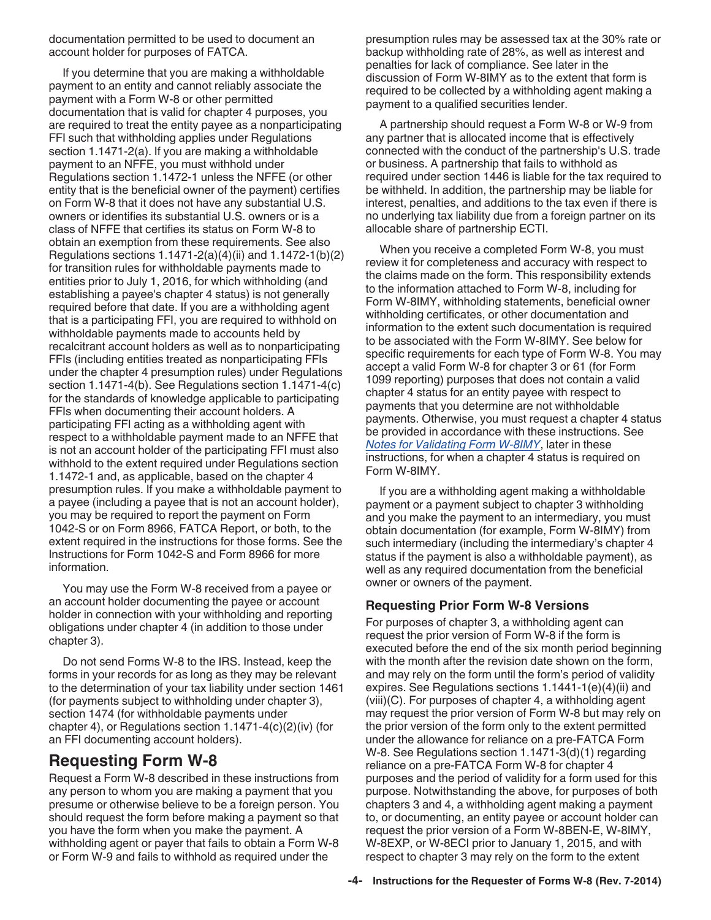documentation permitted to be used to document an account holder for purposes of FATCA.

If you determine that you are making a withholdable payment to an entity and cannot reliably associate the payment with a Form W-8 or other permitted documentation that is valid for chapter 4 purposes, you are required to treat the entity payee as a nonparticipating FFI such that withholding applies under Regulations section 1.1471-2(a). If you are making a withholdable payment to an NFFE, you must withhold under Regulations section 1.1472-1 unless the NFFE (or other entity that is the beneficial owner of the payment) certifies on Form W-8 that it does not have any substantial U.S. owners or identifies its substantial U.S. owners or is a class of NFFE that certifies its status on Form W-8 to obtain an exemption from these requirements. See also Regulations sections 1.1471-2(a)(4)(ii) and 1.1472-1(b)(2) for transition rules for withholdable payments made to entities prior to July 1, 2016, for which withholding (and establishing a payee's chapter 4 status) is not generally required before that date. If you are a withholding agent that is a participating FFI, you are required to withhold on withholdable payments made to accounts held by recalcitrant account holders as well as to nonparticipating FFIs (including entities treated as nonparticipating FFIs under the chapter 4 presumption rules) under Regulations section 1.1471-4(b). See Regulations section 1.1471-4(c) for the standards of knowledge applicable to participating FFIs when documenting their account holders. A participating FFI acting as a withholding agent with respect to a withholdable payment made to an NFFE that is not an account holder of the participating FFI must also withhold to the extent required under Regulations section 1.1472-1 and, as applicable, based on the chapter 4 presumption rules. If you make a withholdable payment to a payee (including a payee that is not an account holder), you may be required to report the payment on Form 1042-S or on Form 8966, FATCA Report, or both, to the extent required in the instructions for those forms. See the Instructions for Form 1042-S and Form 8966 for more information.

You may use the Form W-8 received from a payee or an account holder documenting the payee or account holder in connection with your withholding and reporting obligations under chapter 4 (in addition to those under chapter 3).

Do not send Forms W-8 to the IRS. Instead, keep the forms in your records for as long as they may be relevant to the determination of your tax liability under section 1461 (for payments subject to withholding under chapter 3), section 1474 (for withholdable payments under chapter 4), or Regulations section 1.1471-4(c)(2)(iv) (for an FFI documenting account holders).

### **Requesting Form W-8**

Request a Form W-8 described in these instructions from any person to whom you are making a payment that you presume or otherwise believe to be a foreign person. You should request the form before making a payment so that you have the form when you make the payment. A withholding agent or payer that fails to obtain a Form W-8 or Form W-9 and fails to withhold as required under the

presumption rules may be assessed tax at the 30% rate or backup withholding rate of 28%, as well as interest and penalties for lack of compliance. See later in the discussion of Form W-8IMY as to the extent that form is required to be collected by a withholding agent making a payment to a qualified securities lender.

A partnership should request a Form W-8 or W-9 from any partner that is allocated income that is effectively connected with the conduct of the partnership's U.S. trade or business. A partnership that fails to withhold as required under section 1446 is liable for the tax required to be withheld. In addition, the partnership may be liable for interest, penalties, and additions to the tax even if there is no underlying tax liability due from a foreign partner on its allocable share of partnership ECTI.

When you receive a completed Form W-8, you must review it for completeness and accuracy with respect to the claims made on the form. This responsibility extends to the information attached to Form W-8, including for Form W-8IMY, withholding statements, beneficial owner withholding certificates, or other documentation and information to the extent such documentation is required to be associated with the Form W-8IMY. See below for specific requirements for each type of Form W-8. You may accept a valid Form W-8 for chapter 3 or 61 (for Form 1099 reporting) purposes that does not contain a valid chapter 4 status for an entity payee with respect to payments that you determine are not withholdable payments. Otherwise, you must request a chapter 4 status be provided in accordance with these instructions. See *Notes for Validating Form W-8IMY*, later in these instructions, for when a chapter 4 status is required on Form W-8IMY.

If you are a withholding agent making a withholdable payment or a payment subject to chapter 3 withholding and you make the payment to an intermediary, you must obtain documentation (for example, Form W-8IMY) from such intermediary (including the intermediary's chapter 4 status if the payment is also a withholdable payment), as well as any required documentation from the beneficial owner or owners of the payment.

#### **Requesting Prior Form W-8 Versions**

For purposes of chapter 3, a withholding agent can request the prior version of Form W-8 if the form is executed before the end of the six month period beginning with the month after the revision date shown on the form, and may rely on the form until the form's period of validity expires. See Regulations sections 1.1441-1(e)(4)(ii) and (viii)(C). For purposes of chapter 4, a withholding agent may request the prior version of Form W-8 but may rely on the prior version of the form only to the extent permitted under the allowance for reliance on a pre-FATCA Form W-8. See Regulations section 1.1471-3(d)(1) regarding reliance on a pre-FATCA Form W-8 for chapter 4 purposes and the period of validity for a form used for this purpose. Notwithstanding the above, for purposes of both chapters 3 and 4, a withholding agent making a payment to, or documenting, an entity payee or account holder can request the prior version of a Form W-8BEN-E, W-8IMY, W-8EXP, or W-8ECI prior to January 1, 2015, and with respect to chapter 3 may rely on the form to the extent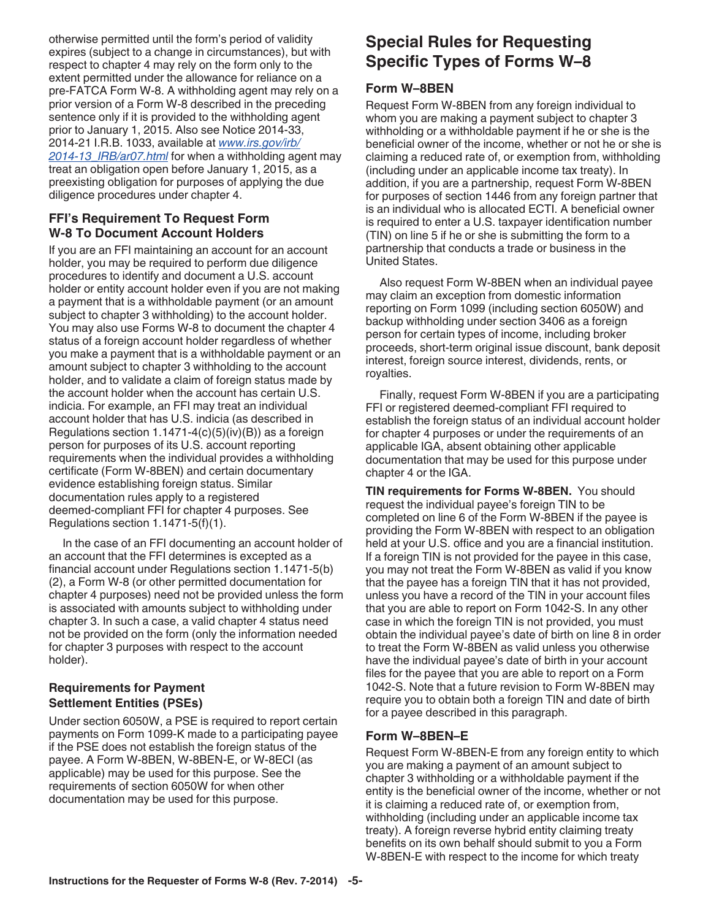otherwise permitted until the form's period of validity expires (subject to a change in circumstances), but with respect to chapter 4 may rely on the form only to the extent permitted under the allowance for reliance on a pre-FATCA Form W-8. A withholding agent may rely on a prior version of a Form W-8 described in the preceding sentence only if it is provided to the withholding agent prior to January 1, 2015. Also see Notice 2014-33, 2014-21 I.R.B. 1033, available at *[www.irs.gov/irb/](http://www.irs.gov/irb/2014-21_IRB/ar01.html) [2014-13\\_IRB/ar07.html](http://www.irs.gov/irb/2014-21_IRB/ar01.html)* for when a withholding agent may treat an obligation open before January 1, 2015, as a preexisting obligation for purposes of applying the due diligence procedures under chapter 4.

#### **FFI's Requirement To Request Form W-8 To Document Account Holders**

If you are an FFI maintaining an account for an account holder, you may be required to perform due diligence procedures to identify and document a U.S. account holder or entity account holder even if you are not making a payment that is a withholdable payment (or an amount subject to chapter 3 withholding) to the account holder. You may also use Forms W-8 to document the chapter 4 status of a foreign account holder regardless of whether you make a payment that is a withholdable payment or an amount subject to chapter 3 withholding to the account holder, and to validate a claim of foreign status made by the account holder when the account has certain U.S. indicia. For example, an FFI may treat an individual account holder that has U.S. indicia (as described in Regulations section  $1.1471-4(c)(5)(iv)(B)$  as a foreign person for purposes of its U.S. account reporting requirements when the individual provides a withholding certificate (Form W-8BEN) and certain documentary evidence establishing foreign status. Similar documentation rules apply to a registered deemed-compliant FFI for chapter 4 purposes. See Regulations section 1.1471-5(f)(1).

In the case of an FFI documenting an account holder of an account that the FFI determines is excepted as a financial account under Regulations section 1.1471-5(b) (2), a Form W-8 (or other permitted documentation for chapter 4 purposes) need not be provided unless the form is associated with amounts subject to withholding under chapter 3. In such a case, a valid chapter 4 status need not be provided on the form (only the information needed for chapter 3 purposes with respect to the account holder).

#### **Requirements for Payment Settlement Entities (PSEs)**

Under section 6050W, a PSE is required to report certain payments on Form 1099-K made to a participating payee if the PSE does not establish the foreign status of the payee. A Form W-8BEN, W-8BEN-E, or W-8ECI (as applicable) may be used for this purpose. See the requirements of section 6050W for when other documentation may be used for this purpose.

# **Special Rules for Requesting Specific Types of Forms W–8**

### **Form W–8BEN**

Request Form W-8BEN from any foreign individual to whom you are making a payment subject to chapter 3 withholding or a withholdable payment if he or she is the beneficial owner of the income, whether or not he or she is claiming a reduced rate of, or exemption from, withholding (including under an applicable income tax treaty). In addition, if you are a partnership, request Form W-8BEN for purposes of section 1446 from any foreign partner that is an individual who is allocated ECTI. A beneficial owner is required to enter a U.S. taxpayer identification number (TIN) on line 5 if he or she is submitting the form to a partnership that conducts a trade or business in the United States.

Also request Form W-8BEN when an individual payee may claim an exception from domestic information reporting on Form 1099 (including section 6050W) and backup withholding under section 3406 as a foreign person for certain types of income, including broker proceeds, short-term original issue discount, bank deposit interest, foreign source interest, dividends, rents, or royalties.

Finally, request Form W-8BEN if you are a participating FFI or registered deemed-compliant FFI required to establish the foreign status of an individual account holder for chapter 4 purposes or under the requirements of an applicable IGA, absent obtaining other applicable documentation that may be used for this purpose under chapter 4 or the IGA.

**TIN requirements for Forms W-8BEN.** You should request the individual payee's foreign TIN to be completed on line 6 of the Form W-8BEN if the payee is providing the Form W-8BEN with respect to an obligation held at your U.S. office and you are a financial institution. If a foreign TIN is not provided for the payee in this case, you may not treat the Form W-8BEN as valid if you know that the payee has a foreign TIN that it has not provided, unless you have a record of the TIN in your account files that you are able to report on Form 1042-S. In any other case in which the foreign TIN is not provided, you must obtain the individual payee's date of birth on line 8 in order to treat the Form W-8BEN as valid unless you otherwise have the individual payee's date of birth in your account files for the payee that you are able to report on a Form 1042-S. Note that a future revision to Form W-8BEN may require you to obtain both a foreign TIN and date of birth for a payee described in this paragraph.

#### **Form W–8BEN–E**

Request Form W-8BEN-E from any foreign entity to which you are making a payment of an amount subject to chapter 3 withholding or a withholdable payment if the entity is the beneficial owner of the income, whether or not it is claiming a reduced rate of, or exemption from, withholding (including under an applicable income tax treaty). A foreign reverse hybrid entity claiming treaty benefits on its own behalf should submit to you a Form W-8BEN-E with respect to the income for which treaty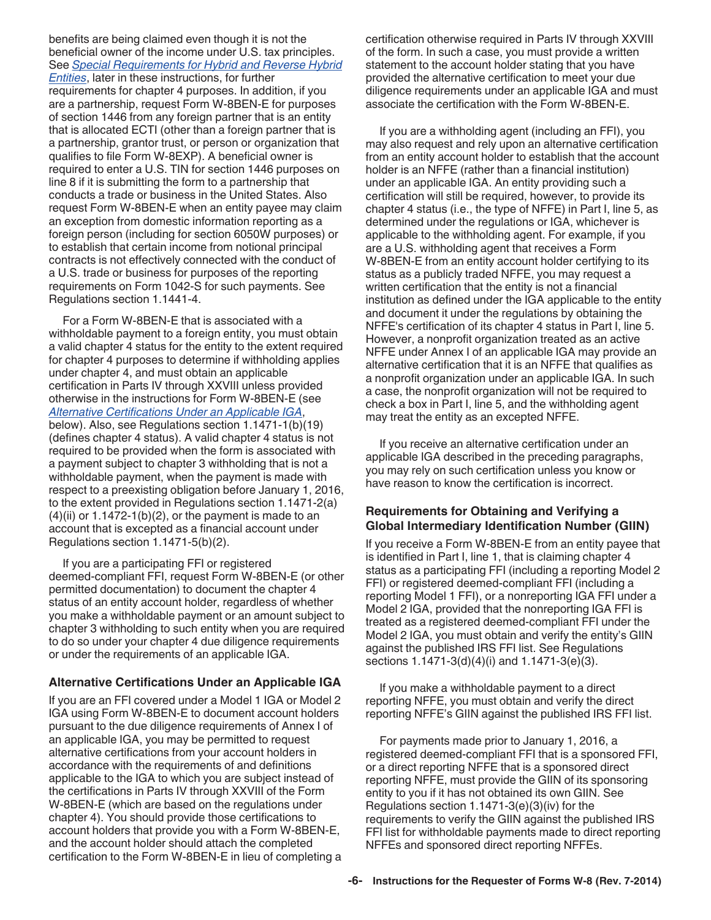<span id="page-5-0"></span>benefits are being claimed even though it is not the beneficial owner of the income under U.S. tax principles. See *[Special Requirements for Hybrid and Reverse Hybrid](#page-9-0)  [Entities](#page-9-0)*, later in these instructions, for further requirements for chapter 4 purposes. In addition, if you are a partnership, request Form W-8BEN-E for purposes of section 1446 from any foreign partner that is an entity that is allocated ECTI (other than a foreign partner that is a partnership, grantor trust, or person or organization that qualifies to file Form W-8EXP). A beneficial owner is required to enter a U.S. TIN for section 1446 purposes on line 8 if it is submitting the form to a partnership that conducts a trade or business in the United States. Also request Form W-8BEN-E when an entity payee may claim an exception from domestic information reporting as a foreign person (including for section 6050W purposes) or to establish that certain income from notional principal contracts is not effectively connected with the conduct of a U.S. trade or business for purposes of the reporting requirements on Form 1042-S for such payments. See Regulations section 1.1441-4.

For a Form W-8BEN-E that is associated with a withholdable payment to a foreign entity, you must obtain a valid chapter 4 status for the entity to the extent required for chapter 4 purposes to determine if withholding applies under chapter 4, and must obtain an applicable certification in Parts IV through XXVIII unless provided otherwise in the instructions for Form W-8BEN-E (see *Alternative Certifications Under an Applicable IGA*, below). Also, see Regulations section 1.1471-1(b)(19) (defines chapter 4 status). A valid chapter 4 status is not required to be provided when the form is associated with a payment subject to chapter 3 withholding that is not a withholdable payment, when the payment is made with respect to a preexisting obligation before January 1, 2016, to the extent provided in Regulations section 1.1471-2(a)  $(4)(ii)$  or 1.1472-1(b) $(2)$ , or the payment is made to an account that is excepted as a financial account under Regulations section 1.1471-5(b)(2).

If you are a participating FFI or registered deemed-compliant FFI, request Form W-8BEN-E (or other permitted documentation) to document the chapter 4 status of an entity account holder, regardless of whether you make a withholdable payment or an amount subject to chapter 3 withholding to such entity when you are required to do so under your chapter 4 due diligence requirements or under the requirements of an applicable IGA.

#### **Alternative Certifications Under an Applicable IGA**

If you are an FFI covered under a Model 1 IGA or Model 2 IGA using Form W-8BEN-E to document account holders pursuant to the due diligence requirements of Annex I of an applicable IGA, you may be permitted to request alternative certifications from your account holders in accordance with the requirements of and definitions applicable to the IGA to which you are subject instead of the certifications in Parts IV through XXVIII of the Form W-8BEN-E (which are based on the regulations under chapter 4). You should provide those certifications to account holders that provide you with a Form W-8BEN-E, and the account holder should attach the completed certification to the Form W-8BEN-E in lieu of completing a

certification otherwise required in Parts IV through XXVIII of the form. In such a case, you must provide a written statement to the account holder stating that you have provided the alternative certification to meet your due diligence requirements under an applicable IGA and must associate the certification with the Form W-8BEN-E.

If you are a withholding agent (including an FFI), you may also request and rely upon an alternative certification from an entity account holder to establish that the account holder is an NFFE (rather than a financial institution) under an applicable IGA. An entity providing such a certification will still be required, however, to provide its chapter 4 status (i.e., the type of NFFE) in Part I, line 5, as determined under the regulations or IGA, whichever is applicable to the withholding agent. For example, if you are a U.S. withholding agent that receives a Form W-8BEN-E from an entity account holder certifying to its status as a publicly traded NFFE, you may request a written certification that the entity is not a financial institution as defined under the IGA applicable to the entity and document it under the regulations by obtaining the NFFE's certification of its chapter 4 status in Part I, line 5. However, a nonprofit organization treated as an active NFFE under Annex I of an applicable IGA may provide an alternative certification that it is an NFFE that qualifies as a nonprofit organization under an applicable IGA. In such a case, the nonprofit organization will not be required to check a box in Part I, line 5, and the withholding agent may treat the entity as an excepted NFFE.

If you receive an alternative certification under an applicable IGA described in the preceding paragraphs, you may rely on such certification unless you know or have reason to know the certification is incorrect.

#### **Requirements for Obtaining and Verifying a Global Intermediary Identification Number (GIIN)**

If you receive a Form W-8BEN-E from an entity payee that is identified in Part I, line 1, that is claiming chapter 4 status as a participating FFI (including a reporting Model 2 FFI) or registered deemed-compliant FFI (including a reporting Model 1 FFI), or a nonreporting IGA FFI under a Model 2 IGA, provided that the nonreporting IGA FFI is treated as a registered deemed-compliant FFI under the Model 2 IGA, you must obtain and verify the entity's GIIN against the published IRS FFI list. See Regulations sections 1.1471-3(d)(4)(i) and 1.1471-3(e)(3).

If you make a withholdable payment to a direct reporting NFFE, you must obtain and verify the direct reporting NFFE's GIIN against the published IRS FFI list.

For payments made prior to January 1, 2016, a registered deemed-compliant FFI that is a sponsored FFI, or a direct reporting NFFE that is a sponsored direct reporting NFFE, must provide the GIIN of its sponsoring entity to you if it has not obtained its own GIIN. See Regulations section 1.1471-3(e)(3)(iv) for the requirements to verify the GIIN against the published IRS FFI list for withholdable payments made to direct reporting NFFEs and sponsored direct reporting NFFEs.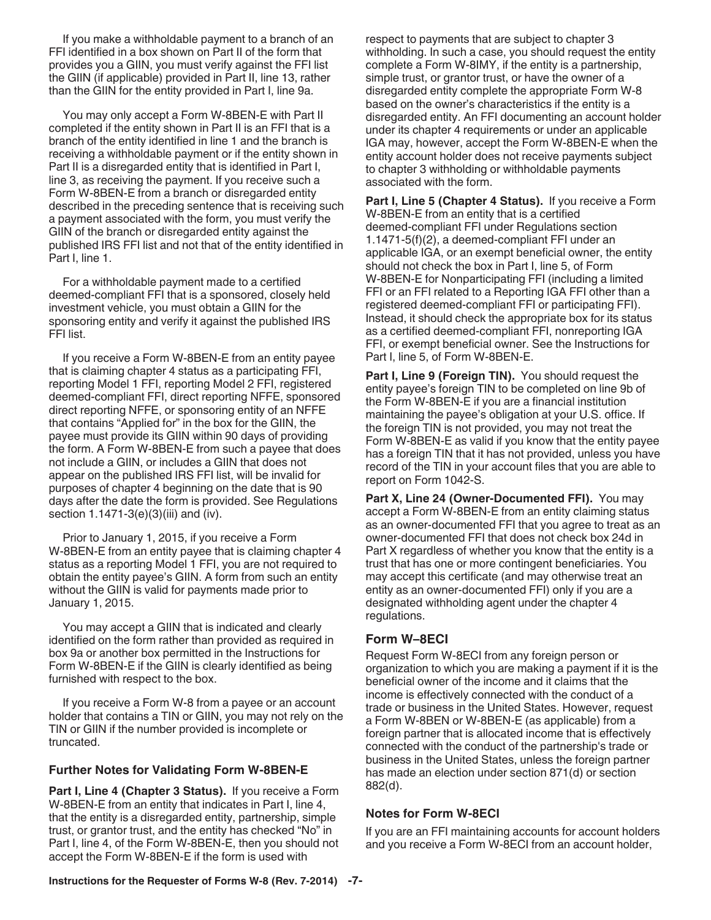<span id="page-6-0"></span>If you make a withholdable payment to a branch of an FFI identified in a box shown on Part II of the form that provides you a GIIN, you must verify against the FFI list the GIIN (if applicable) provided in Part II, line 13, rather than the GIIN for the entity provided in Part I, line 9a.

You may only accept a Form W-8BEN-E with Part II completed if the entity shown in Part II is an FFI that is a branch of the entity identified in line 1 and the branch is receiving a withholdable payment or if the entity shown in Part II is a disregarded entity that is identified in Part I, line 3, as receiving the payment. If you receive such a Form W-8BEN-E from a branch or disregarded entity described in the preceding sentence that is receiving such a payment associated with the form, you must verify the GIIN of the branch or disregarded entity against the published IRS FFI list and not that of the entity identified in Part I, line 1.

For a withholdable payment made to a certified deemed-compliant FFI that is a sponsored, closely held investment vehicle, you must obtain a GIIN for the sponsoring entity and verify it against the published IRS FFI list.

If you receive a Form W-8BEN-E from an entity payee that is claiming chapter 4 status as a participating FFI, reporting Model 1 FFI, reporting Model 2 FFI, registered deemed-compliant FFI, direct reporting NFFE, sponsored direct reporting NFFE, or sponsoring entity of an NFFE that contains "Applied for" in the box for the GIIN, the payee must provide its GIIN within 90 days of providing the form. A Form W-8BEN-E from such a payee that does not include a GIIN, or includes a GIIN that does not appear on the published IRS FFI list, will be invalid for purposes of chapter 4 beginning on the date that is 90 days after the date the form is provided. See Regulations section 1.1471-3(e)(3)(iii) and (iv).

Prior to January 1, 2015, if you receive a Form W-8BEN-E from an entity payee that is claiming chapter 4 status as a reporting Model 1 FFI, you are not required to obtain the entity payee's GIIN. A form from such an entity without the GIIN is valid for payments made prior to January 1, 2015.

You may accept a GIIN that is indicated and clearly identified on the form rather than provided as required in box 9a or another box permitted in the Instructions for Form W-8BEN-E if the GIIN is clearly identified as being furnished with respect to the box.

If you receive a Form W-8 from a payee or an account holder that contains a TIN or GIIN, you may not rely on the TIN or GIIN if the number provided is incomplete or truncated.

#### **Further Notes for Validating Form W-8BEN-E**

Part I, Line 4 (Chapter 3 Status). If you receive a Form W-8BEN-E from an entity that indicates in Part I, line 4, that the entity is a disregarded entity, partnership, simple trust, or grantor trust, and the entity has checked "No" in Part I, line 4, of the Form W-8BEN-E, then you should not accept the Form W-8BEN-E if the form is used with

respect to payments that are subject to chapter 3 withholding. In such a case, you should request the entity complete a Form W-8IMY, if the entity is a partnership, simple trust, or grantor trust, or have the owner of a disregarded entity complete the appropriate Form W-8 based on the owner's characteristics if the entity is a disregarded entity. An FFI documenting an account holder under its chapter 4 requirements or under an applicable IGA may, however, accept the Form W-8BEN-E when the entity account holder does not receive payments subject to chapter 3 withholding or withholdable payments associated with the form.

**Part I, Line 5 (Chapter 4 Status).** If you receive a Form W-8BEN-E from an entity that is a certified deemed-compliant FFI under Regulations section 1.1471-5(f)(2), a deemed-compliant FFI under an applicable IGA, or an exempt beneficial owner, the entity should not check the box in Part I, line 5, of Form W-8BEN-E for Nonparticipating FFI (including a limited FFI or an FFI related to a Reporting IGA FFI other than a registered deemed-compliant FFI or participating FFI). Instead, it should check the appropriate box for its status as a certified deemed-compliant FFI, nonreporting IGA FFI, or exempt beneficial owner. See the Instructions for Part I, line 5, of Form W-8BEN-E.

Part I, Line 9 (Foreign TIN). You should request the entity payee's foreign TIN to be completed on line 9b of the Form W-8BEN-E if you are a financial institution maintaining the payee's obligation at your U.S. office. If the foreign TIN is not provided, you may not treat the Form W-8BEN-E as valid if you know that the entity payee has a foreign TIN that it has not provided, unless you have record of the TIN in your account files that you are able to report on Form 1042-S.

**Part X, Line 24 (Owner-Documented FFI).** You may accept a Form W-8BEN-E from an entity claiming status as an owner-documented FFI that you agree to treat as an owner-documented FFI that does not check box 24d in Part X regardless of whether you know that the entity is a trust that has one or more contingent beneficiaries. You may accept this certificate (and may otherwise treat an entity as an owner-documented FFI) only if you are a designated withholding agent under the chapter 4 regulations.

#### **Form W–8ECI**

Request Form W-8ECI from any foreign person or organization to which you are making a payment if it is the beneficial owner of the income and it claims that the income is effectively connected with the conduct of a trade or business in the United States. However, request a Form W-8BEN or W-8BEN-E (as applicable) from a foreign partner that is allocated income that is effectively connected with the conduct of the partnership's trade or business in the United States, unless the foreign partner has made an election under section 871(d) or section 882(d).

#### **Notes for Form W-8ECI**

If you are an FFI maintaining accounts for account holders and you receive a Form W-8ECI from an account holder,

**Instructions for the Requester of Forms W-8 (Rev. 7-2014) -7-**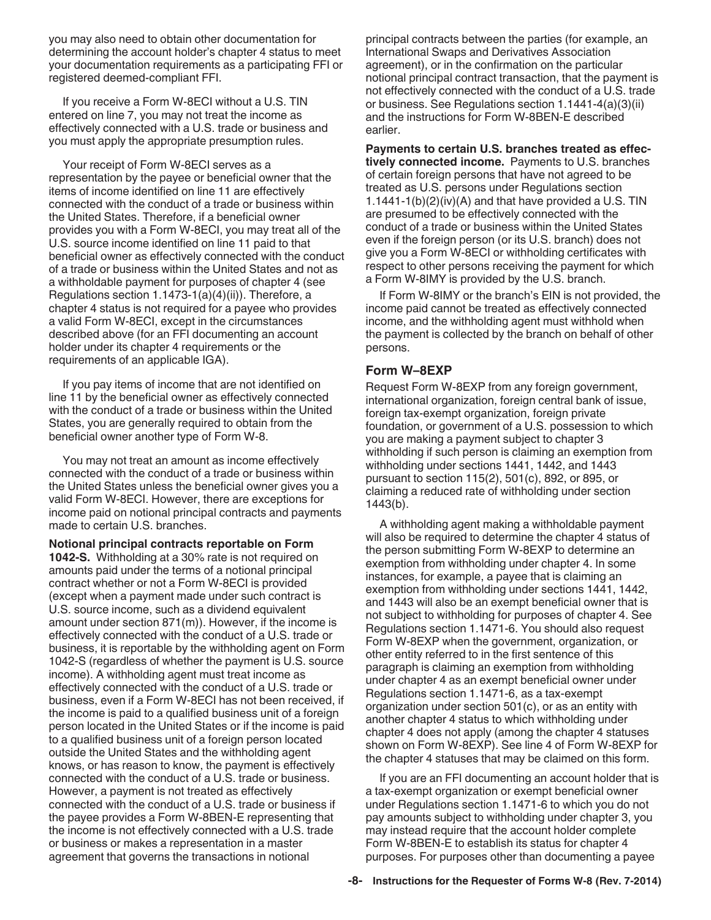you may also need to obtain other documentation for determining the account holder's chapter 4 status to meet your documentation requirements as a participating FFI or registered deemed-compliant FFI.

If you receive a Form W-8ECI without a U.S. TIN entered on line 7, you may not treat the income as effectively connected with a U.S. trade or business and you must apply the appropriate presumption rules.

Your receipt of Form W-8ECI serves as a representation by the payee or beneficial owner that the items of income identified on line 11 are effectively connected with the conduct of a trade or business within the United States. Therefore, if a beneficial owner provides you with a Form W-8ECI, you may treat all of the U.S. source income identified on line 11 paid to that beneficial owner as effectively connected with the conduct of a trade or business within the United States and not as a withholdable payment for purposes of chapter 4 (see Regulations section 1.1473-1(a)(4)(ii)). Therefore, a chapter 4 status is not required for a payee who provides a valid Form W-8ECI, except in the circumstances described above (for an FFI documenting an account holder under its chapter 4 requirements or the requirements of an applicable IGA).

If you pay items of income that are not identified on line 11 by the beneficial owner as effectively connected with the conduct of a trade or business within the United States, you are generally required to obtain from the beneficial owner another type of Form W-8.

You may not treat an amount as income effectively connected with the conduct of a trade or business within the United States unless the beneficial owner gives you a valid Form W-8ECI. However, there are exceptions for income paid on notional principal contracts and payments made to certain U.S. branches.

**Notional principal contracts reportable on Form 1042-S.** Withholding at a 30% rate is not required on amounts paid under the terms of a notional principal contract whether or not a Form W-8ECI is provided (except when a payment made under such contract is U.S. source income, such as a dividend equivalent amount under section 871(m)). However, if the income is effectively connected with the conduct of a U.S. trade or business, it is reportable by the withholding agent on Form 1042-S (regardless of whether the payment is U.S. source income). A withholding agent must treat income as effectively connected with the conduct of a U.S. trade or business, even if a Form W-8ECI has not been received, if the income is paid to a qualified business unit of a foreign person located in the United States or if the income is paid to a qualified business unit of a foreign person located outside the United States and the withholding agent knows, or has reason to know, the payment is effectively connected with the conduct of a U.S. trade or business. However, a payment is not treated as effectively connected with the conduct of a U.S. trade or business if the payee provides a Form W-8BEN-E representing that the income is not effectively connected with a U.S. trade or business or makes a representation in a master agreement that governs the transactions in notional

principal contracts between the parties (for example, an International Swaps and Derivatives Association agreement), or in the confirmation on the particular notional principal contract transaction, that the payment is not effectively connected with the conduct of a U.S. trade or business. See Regulations section 1.1441-4(a)(3)(ii) and the instructions for Form W-8BEN-E described earlier.

**Payments to certain U.S. branches treated as effectively connected income.** Payments to U.S. branches of certain foreign persons that have not agreed to be treated as U.S. persons under Regulations section 1.1441-1(b)(2)(iv)(A) and that have provided a U.S. TIN are presumed to be effectively connected with the conduct of a trade or business within the United States even if the foreign person (or its U.S. branch) does not give you a Form W-8ECI or withholding certificates with respect to other persons receiving the payment for which a Form W-8IMY is provided by the U.S. branch.

If Form W-8IMY or the branch's EIN is not provided, the income paid cannot be treated as effectively connected income, and the withholding agent must withhold when the payment is collected by the branch on behalf of other persons.

#### **Form W–8EXP**

Request Form W-8EXP from any foreign government, international organization, foreign central bank of issue, foreign tax-exempt organization, foreign private foundation, or government of a U.S. possession to which you are making a payment subject to chapter 3 withholding if such person is claiming an exemption from withholding under sections 1441, 1442, and 1443 pursuant to section 115(2), 501(c), 892, or 895, or claiming a reduced rate of withholding under section 1443(b).

A withholding agent making a withholdable payment will also be required to determine the chapter 4 status of the person submitting Form W-8EXP to determine an exemption from withholding under chapter 4. In some instances, for example, a payee that is claiming an exemption from withholding under sections 1441, 1442, and 1443 will also be an exempt beneficial owner that is not subject to withholding for purposes of chapter 4. See Regulations section 1.1471-6. You should also request Form W-8EXP when the government, organization, or other entity referred to in the first sentence of this paragraph is claiming an exemption from withholding under chapter 4 as an exempt beneficial owner under Regulations section 1.1471-6, as a tax-exempt organization under section 501(c), or as an entity with another chapter 4 status to which withholding under chapter 4 does not apply (among the chapter 4 statuses shown on Form W-8EXP). See line 4 of Form W-8EXP for the chapter 4 statuses that may be claimed on this form.

If you are an FFI documenting an account holder that is a tax-exempt organization or exempt beneficial owner under Regulations section 1.1471-6 to which you do not pay amounts subject to withholding under chapter 3, you may instead require that the account holder complete Form W-8BEN-E to establish its status for chapter 4 purposes. For purposes other than documenting a payee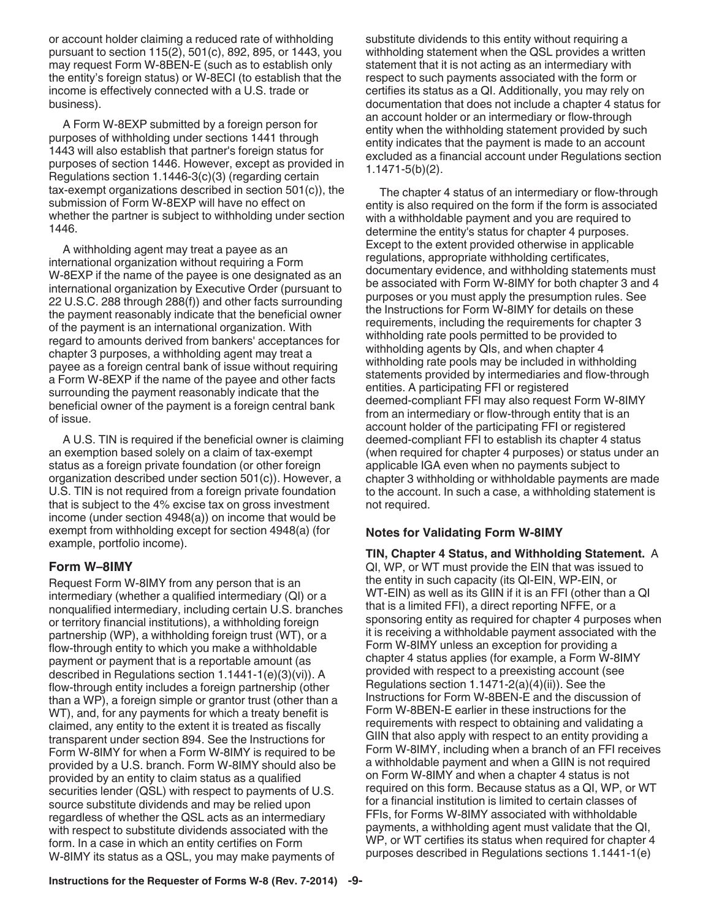or account holder claiming a reduced rate of withholding pursuant to section 115(2), 501(c), 892, 895, or 1443, you may request Form W-8BEN-E (such as to establish only the entity's foreign status) or W-8ECI (to establish that the income is effectively connected with a U.S. trade or business).

A Form W-8EXP submitted by a foreign person for purposes of withholding under sections 1441 through 1443 will also establish that partner's foreign status for purposes of section 1446. However, except as provided in Regulations section 1.1446-3(c)(3) (regarding certain tax-exempt organizations described in section 501(c)), the submission of Form W-8EXP will have no effect on whether the partner is subject to withholding under section 1446.

A withholding agent may treat a payee as an international organization without requiring a Form W-8EXP if the name of the payee is one designated as an international organization by Executive Order (pursuant to 22 U.S.C. 288 through 288(f)) and other facts surrounding the payment reasonably indicate that the beneficial owner of the payment is an international organization. With regard to amounts derived from bankers' acceptances for chapter 3 purposes, a withholding agent may treat a payee as a foreign central bank of issue without requiring a Form W-8EXP if the name of the payee and other facts surrounding the payment reasonably indicate that the beneficial owner of the payment is a foreign central bank of issue.

A U.S. TIN is required if the beneficial owner is claiming an exemption based solely on a claim of tax-exempt status as a foreign private foundation (or other foreign organization described under section 501(c)). However, a U.S. TIN is not required from a foreign private foundation that is subject to the 4% excise tax on gross investment income (under section 4948(a)) on income that would be exempt from withholding except for section 4948(a) (for example, portfolio income).

#### **Form W–8IMY**

Request Form W-8IMY from any person that is an intermediary (whether a qualified intermediary (QI) or a nonqualified intermediary, including certain U.S. branches or territory financial institutions), a withholding foreign partnership (WP), a withholding foreign trust (WT), or a flow-through entity to which you make a withholdable payment or payment that is a reportable amount (as described in Regulations section 1.1441-1(e)(3)(vi)). A flow-through entity includes a foreign partnership (other than a WP), a foreign simple or grantor trust (other than a WT), and, for any payments for which a treaty benefit is claimed, any entity to the extent it is treated as fiscally transparent under section 894. See the Instructions for Form W-8IMY for when a Form W-8IMY is required to be provided by a U.S. branch. Form W-8IMY should also be provided by an entity to claim status as a qualified securities lender (QSL) with respect to payments of U.S. source substitute dividends and may be relied upon regardless of whether the QSL acts as an intermediary with respect to substitute dividends associated with the form. In a case in which an entity certifies on Form W-8IMY its status as a QSL, you may make payments of

substitute dividends to this entity without requiring a withholding statement when the QSL provides a written statement that it is not acting as an intermediary with respect to such payments associated with the form or certifies its status as a QI. Additionally, you may rely on documentation that does not include a chapter 4 status for an account holder or an intermediary or flow-through entity when the withholding statement provided by such entity indicates that the payment is made to an account excluded as a financial account under Regulations section 1.1471-5(b)(2).

The chapter 4 status of an intermediary or flow-through entity is also required on the form if the form is associated with a withholdable payment and you are required to determine the entity's status for chapter 4 purposes. Except to the extent provided otherwise in applicable regulations, appropriate withholding certificates, documentary evidence, and withholding statements must be associated with Form W-8IMY for both chapter 3 and 4 purposes or you must apply the presumption rules. See the Instructions for Form W-8IMY for details on these requirements, including the requirements for chapter 3 withholding rate pools permitted to be provided to withholding agents by QIs, and when chapter 4 withholding rate pools may be included in withholding statements provided by intermediaries and flow-through entities. A participating FFI or registered deemed-compliant FFI may also request Form W-8IMY from an intermediary or flow-through entity that is an account holder of the participating FFI or registered deemed-compliant FFI to establish its chapter 4 status (when required for chapter 4 purposes) or status under an applicable IGA even when no payments subject to chapter 3 withholding or withholdable payments are made to the account. In such a case, a withholding statement is not required.

#### **Notes for Validating Form W-8IMY**

**TIN, Chapter 4 Status, and Withholding Statement.** A QI, WP, or WT must provide the EIN that was issued to the entity in such capacity (its QI-EIN, WP-EIN, or WT-EIN) as well as its GIIN if it is an FFI (other than a QI that is a limited FFI), a direct reporting NFFE, or a sponsoring entity as required for chapter 4 purposes when it is receiving a withholdable payment associated with the Form W-8IMY unless an exception for providing a chapter 4 status applies (for example, a Form W-8IMY provided with respect to a preexisting account (see Regulations section 1.1471-2(a)(4)(ii)). See the Instructions for Form W-8BEN-E and the discussion of Form W-8BEN-E earlier in these instructions for the requirements with respect to obtaining and validating a GIIN that also apply with respect to an entity providing a Form W-8IMY, including when a branch of an FFI receives a withholdable payment and when a GIIN is not required on Form W-8IMY and when a chapter 4 status is not required on this form. Because status as a QI, WP, or WT for a financial institution is limited to certain classes of FFIs, for Forms W-8IMY associated with withholdable payments, a withholding agent must validate that the QI, WP, or WT certifies its status when required for chapter 4 purposes described in Regulations sections 1.1441-1(e)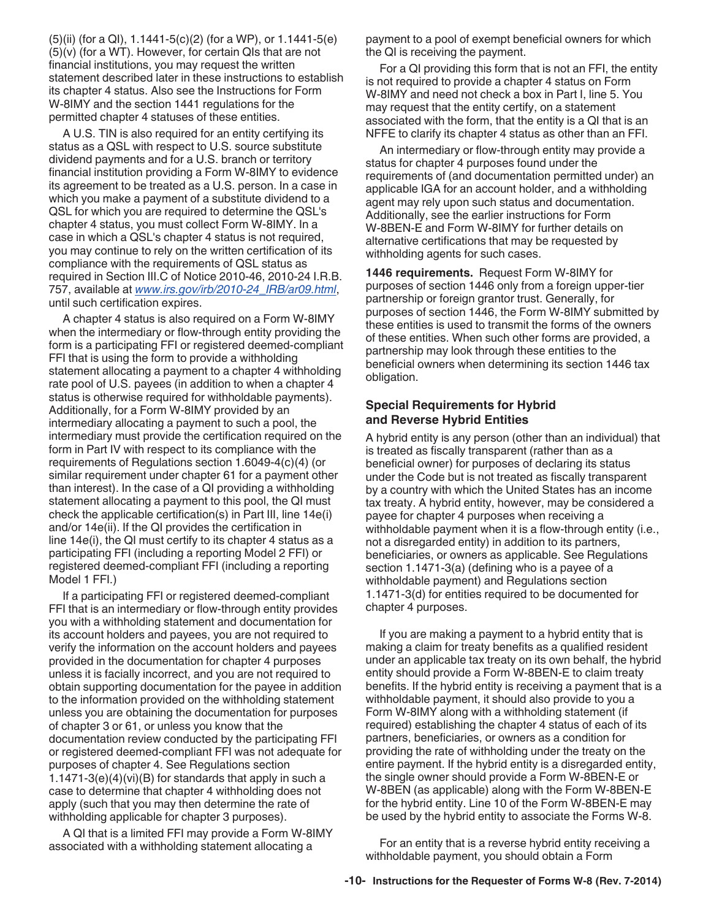<span id="page-9-0"></span>(5)(ii) (for a QI), 1.1441-5(c)(2) (for a WP), or 1.1441-5(e) (5)(v) (for a WT). However, for certain QIs that are not financial institutions, you may request the written statement described later in these instructions to establish its chapter 4 status. Also see the Instructions for Form W-8IMY and the section 1441 regulations for the permitted chapter 4 statuses of these entities.

A U.S. TIN is also required for an entity certifying its status as a QSL with respect to U.S. source substitute dividend payments and for a U.S. branch or territory financial institution providing a Form W-8IMY to evidence its agreement to be treated as a U.S. person. In a case in which you make a payment of a substitute dividend to a QSL for which you are required to determine the QSL's chapter 4 status, you must collect Form W-8IMY. In a case in which a QSL's chapter 4 status is not required, you may continue to rely on the written certification of its compliance with the requirements of QSL status as required in Section III.C of Notice 2010-46, 2010-24 I.R.B. 757, available at *[www.irs.gov/irb/2010-24\\_IRB/ar09.html](http://www.irs.gov/irb/2010-24_IRB/ar09.html)*, until such certification expires.

A chapter 4 status is also required on a Form W-8IMY when the intermediary or flow-through entity providing the form is a participating FFI or registered deemed-compliant FFI that is using the form to provide a withholding statement allocating a payment to a chapter 4 withholding rate pool of U.S. payees (in addition to when a chapter 4 status is otherwise required for withholdable payments). Additionally, for a Form W-8IMY provided by an intermediary allocating a payment to such a pool, the intermediary must provide the certification required on the form in Part IV with respect to its compliance with the requirements of Regulations section 1.6049-4(c)(4) (or similar requirement under chapter 61 for a payment other than interest). In the case of a QI providing a withholding statement allocating a payment to this pool, the QI must check the applicable certification(s) in Part III, line 14e(i) and/or 14e(ii). If the QI provides the certification in line 14e(i), the QI must certify to its chapter 4 status as a participating FFI (including a reporting Model 2 FFI) or registered deemed-compliant FFI (including a reporting Model 1 FFI.)

If a participating FFI or registered deemed-compliant FFI that is an intermediary or flow-through entity provides you with a withholding statement and documentation for its account holders and payees, you are not required to verify the information on the account holders and payees provided in the documentation for chapter 4 purposes unless it is facially incorrect, and you are not required to obtain supporting documentation for the payee in addition to the information provided on the withholding statement unless you are obtaining the documentation for purposes of chapter 3 or 61, or unless you know that the documentation review conducted by the participating FFI or registered deemed-compliant FFI was not adequate for purposes of chapter 4. See Regulations section 1.1471-3(e)(4)(vi)(B) for standards that apply in such a case to determine that chapter 4 withholding does not apply (such that you may then determine the rate of withholding applicable for chapter 3 purposes).

A QI that is a limited FFI may provide a Form W-8IMY associated with a withholding statement allocating a

payment to a pool of exempt beneficial owners for which the QI is receiving the payment.

For a QI providing this form that is not an FFI, the entity is not required to provide a chapter 4 status on Form W-8IMY and need not check a box in Part I, line 5. You may request that the entity certify, on a statement associated with the form, that the entity is a QI that is an NFFE to clarify its chapter 4 status as other than an FFI.

An intermediary or flow-through entity may provide a status for chapter 4 purposes found under the requirements of (and documentation permitted under) an applicable IGA for an account holder, and a withholding agent may rely upon such status and documentation. Additionally, see the earlier instructions for Form W-8BEN-E and Form W-8IMY for further details on alternative certifications that may be requested by withholding agents for such cases.

**1446 requirements.** Request Form W-8IMY for purposes of section 1446 only from a foreign upper-tier partnership or foreign grantor trust. Generally, for purposes of section 1446, the Form W-8IMY submitted by these entities is used to transmit the forms of the owners of these entities. When such other forms are provided, a partnership may look through these entities to the beneficial owners when determining its section 1446 tax obligation.

#### **Special Requirements for Hybrid and Reverse Hybrid Entities**

A hybrid entity is any person (other than an individual) that is treated as fiscally transparent (rather than as a beneficial owner) for purposes of declaring its status under the Code but is not treated as fiscally transparent by a country with which the United States has an income tax treaty. A hybrid entity, however, may be considered a payee for chapter 4 purposes when receiving a withholdable payment when it is a flow-through entity (i.e., not a disregarded entity) in addition to its partners, beneficiaries, or owners as applicable. See Regulations section 1.1471-3(a) (defining who is a payee of a withholdable payment) and Regulations section 1.1471-3(d) for entities required to be documented for chapter 4 purposes.

If you are making a payment to a hybrid entity that is making a claim for treaty benefits as a qualified resident under an applicable tax treaty on its own behalf, the hybrid entity should provide a Form W-8BEN-E to claim treaty benefits. If the hybrid entity is receiving a payment that is a withholdable payment, it should also provide to you a Form W-8IMY along with a withholding statement (if required) establishing the chapter 4 status of each of its partners, beneficiaries, or owners as a condition for providing the rate of withholding under the treaty on the entire payment. If the hybrid entity is a disregarded entity, the single owner should provide a Form W-8BEN-E or W-8BEN (as applicable) along with the Form W-8BEN-E for the hybrid entity. Line 10 of the Form W-8BEN-E may be used by the hybrid entity to associate the Forms W-8.

For an entity that is a reverse hybrid entity receiving a withholdable payment, you should obtain a Form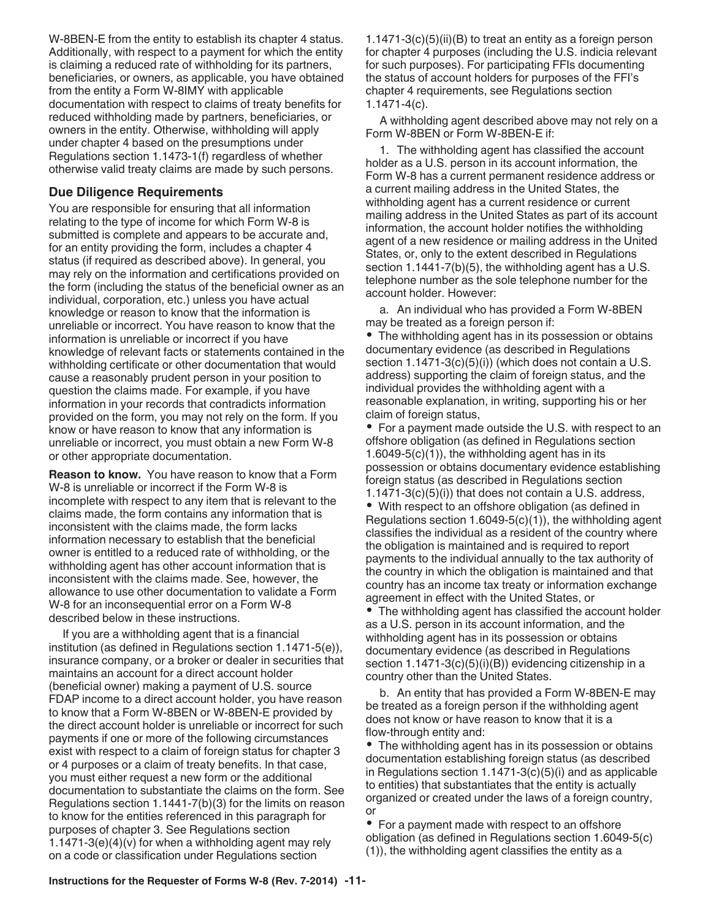W-8BEN-E from the entity to establish its chapter 4 status. Additionally, with respect to a payment for which the entity is claiming a reduced rate of withholding for its partners, beneficiaries, or owners, as applicable, you have obtained from the entity a Form W-8IMY with applicable documentation with respect to claims of treaty benefits for reduced withholding made by partners, beneficiaries, or owners in the entity. Otherwise, withholding will apply under chapter 4 based on the presumptions under Regulations section 1.1473-1(f) regardless of whether otherwise valid treaty claims are made by such persons.

#### **Due Diligence Requirements**

You are responsible for ensuring that all information relating to the type of income for which Form W-8 is submitted is complete and appears to be accurate and, for an entity providing the form, includes a chapter 4 status (if required as described above). In general, you may rely on the information and certifications provided on the form (including the status of the beneficial owner as an individual, corporation, etc.) unless you have actual knowledge or reason to know that the information is unreliable or incorrect. You have reason to know that the information is unreliable or incorrect if you have knowledge of relevant facts or statements contained in the withholding certificate or other documentation that would cause a reasonably prudent person in your position to question the claims made. For example, if you have information in your records that contradicts information provided on the form, you may not rely on the form. If you know or have reason to know that any information is unreliable or incorrect, you must obtain a new Form W-8 or other appropriate documentation.

**Reason to know.** You have reason to know that a Form W-8 is unreliable or incorrect if the Form W-8 is incomplete with respect to any item that is relevant to the claims made, the form contains any information that is inconsistent with the claims made, the form lacks information necessary to establish that the beneficial owner is entitled to a reduced rate of withholding, or the withholding agent has other account information that is inconsistent with the claims made. See, however, the allowance to use other documentation to validate a Form W-8 for an inconsequential error on a Form W-8 described below in these instructions.

If you are a withholding agent that is a financial institution (as defined in Regulations section 1.1471-5(e)), insurance company, or a broker or dealer in securities that maintains an account for a direct account holder (beneficial owner) making a payment of U.S. source FDAP income to a direct account holder, you have reason to know that a Form W-8BEN or W-8BEN-E provided by the direct account holder is unreliable or incorrect for such payments if one or more of the following circumstances exist with respect to a claim of foreign status for chapter 3 or 4 purposes or a claim of treaty benefits. In that case, you must either request a new form or the additional documentation to substantiate the claims on the form. See Regulations section 1.1441-7(b)(3) for the limits on reason to know for the entities referenced in this paragraph for purposes of chapter 3. See Regulations section 1.1471-3(e)(4)(v) for when a withholding agent may rely on a code or classification under Regulations section

1.1471-3(c)(5)(ii)(B) to treat an entity as a foreign person for chapter 4 purposes (including the U.S. indicia relevant for such purposes). For participating FFIs documenting the status of account holders for purposes of the FFI's chapter 4 requirements, see Regulations section 1.1471-4(c).

A withholding agent described above may not rely on a Form W-8BEN or Form W-8BEN-E if:

1. The withholding agent has classified the account holder as a U.S. person in its account information, the Form W-8 has a current permanent residence address or a current mailing address in the United States, the withholding agent has a current residence or current mailing address in the United States as part of its account information, the account holder notifies the withholding agent of a new residence or mailing address in the United States, or, only to the extent described in Regulations section 1.1441-7(b)(5), the withholding agent has a U.S. telephone number as the sole telephone number for the account holder. However:

a. An individual who has provided a Form W-8BEN may be treated as a foreign person if:

• The withholding agent has in its possession or obtains documentary evidence (as described in Regulations section 1.1471-3(c)(5)(i)) (which does not contain a U.S. address) supporting the claim of foreign status, and the individual provides the withholding agent with a reasonable explanation, in writing, supporting his or her claim of foreign status,

• For a payment made outside the U.S. with respect to an offshore obligation (as defined in Regulations section  $1.6049-5(c)(1)$ , the withholding agent has in its possession or obtains documentary evidence establishing foreign status (as described in Regulations section 1.1471-3(c)(5)(i)) that does not contain a U.S. address,

With respect to an offshore obligation (as defined in Regulations section 1.6049-5(c)(1)), the withholding agent classifies the individual as a resident of the country where the obligation is maintained and is required to report payments to the individual annually to the tax authority of the country in which the obligation is maintained and that country has an income tax treaty or information exchange agreement in effect with the United States, or

The withholding agent has classified the account holder as a U.S. person in its account information, and the withholding agent has in its possession or obtains documentary evidence (as described in Regulations section 1.1471-3(c)(5)(i)(B)) evidencing citizenship in a country other than the United States.

b. An entity that has provided a Form W-8BEN-E may be treated as a foreign person if the withholding agent does not know or have reason to know that it is a flow-through entity and:

The withholding agent has in its possession or obtains documentation establishing foreign status (as described in Regulations section 1.1471-3(c)(5)(i) and as applicable to entities) that substantiates that the entity is actually organized or created under the laws of a foreign country, or

• For a payment made with respect to an offshore obligation (as defined in Regulations section 1.6049-5(c) (1)), the withholding agent classifies the entity as a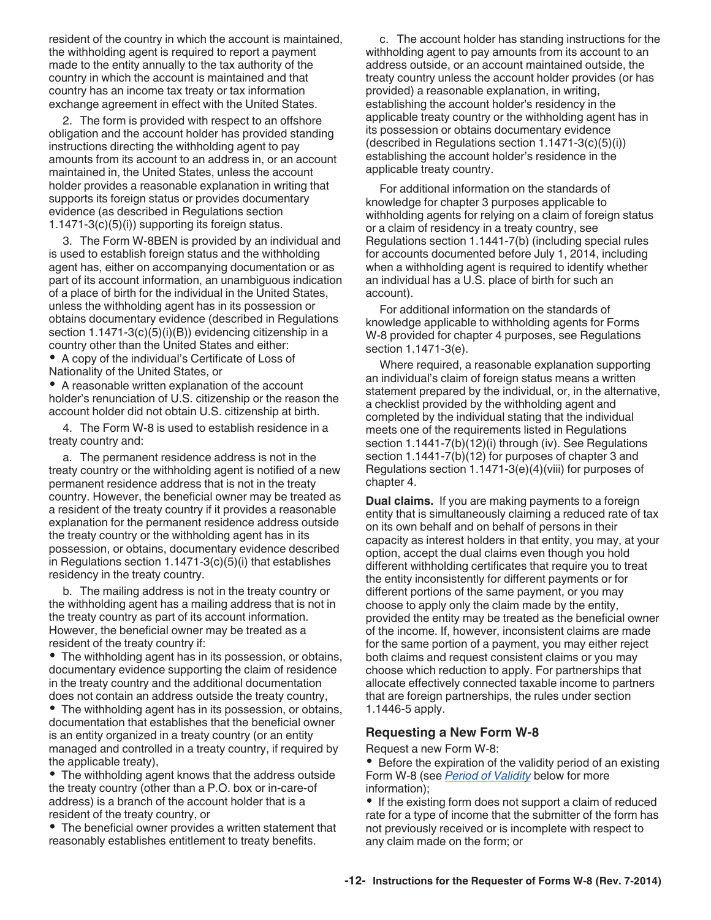resident of the country in which the account is maintained, the withholding agent is required to report a payment made to the entity annually to the tax authority of the country in which the account is maintained and that country has an income tax treaty or tax information exchange agreement in effect with the United States.

2. The form is provided with respect to an offshore obligation and the account holder has provided standing instructions directing the withholding agent to pay amounts from its account to an address in, or an account maintained in, the United States, unless the account holder provides a reasonable explanation in writing that supports its foreign status or provides documentary evidence (as described in Regulations section 1.1471-3(c)(5)(i)) supporting its foreign status.

3. The Form W-8BEN is provided by an individual and is used to establish foreign status and the withholding agent has, either on accompanying documentation or as part of its account information, an unambiguous indication of a place of birth for the individual in the United States, unless the withholding agent has in its possession or obtains documentary evidence (described in Regulations section 1.1471-3(c)(5)(i)(B)) evidencing citizenship in a country other than the United States and either:

A copy of the individual's Certificate of Loss of Nationality of the United States, or

A reasonable written explanation of the account holder's renunciation of U.S. citizenship or the reason the account holder did not obtain U.S. citizenship at birth.

4. The Form W-8 is used to establish residence in a treaty country and:

a. The permanent residence address is not in the treaty country or the withholding agent is notified of a new permanent residence address that is not in the treaty country. However, the beneficial owner may be treated as a resident of the treaty country if it provides a reasonable explanation for the permanent residence address outside the treaty country or the withholding agent has in its possession, or obtains, documentary evidence described in Regulations section 1.1471-3(c)(5)(i) that establishes residency in the treaty country.

b. The mailing address is not in the treaty country or the withholding agent has a mailing address that is not in the treaty country as part of its account information. However, the beneficial owner may be treated as a resident of the treaty country if:

The withholding agent has in its possession, or obtains, documentary evidence supporting the claim of residence in the treaty country and the additional documentation does not contain an address outside the treaty country,

The withholding agent has in its possession, or obtains, documentation that establishes that the beneficial owner is an entity organized in a treaty country (or an entity managed and controlled in a treaty country, if required by the applicable treaty),

The withholding agent knows that the address outside the treaty country (other than a P.O. box or in-care-of address) is a branch of the account holder that is a resident of the treaty country, or

The beneficial owner provides a written statement that reasonably establishes entitlement to treaty benefits.

c. The account holder has standing instructions for the withholding agent to pay amounts from its account to an address outside, or an account maintained outside, the treaty country unless the account holder provides (or has provided) a reasonable explanation, in writing, establishing the account holder's residency in the applicable treaty country or the withholding agent has in its possession or obtains documentary evidence  $(\text{described in Requirements section } 1.1471-3(c)(5)(i))$ establishing the account holder's residence in the applicable treaty country.

For additional information on the standards of knowledge for chapter 3 purposes applicable to withholding agents for relying on a claim of foreign status or a claim of residency in a treaty country, see Regulations section 1.1441-7(b) (including special rules for accounts documented before July 1, 2014, including when a withholding agent is required to identify whether an individual has a U.S. place of birth for such an account).

For additional information on the standards of knowledge applicable to withholding agents for Forms W-8 provided for chapter 4 purposes, see Regulations section 1.1471-3(e).

Where required, a reasonable explanation supporting an individual's claim of foreign status means a written statement prepared by the individual, or, in the alternative, a checklist provided by the withholding agent and completed by the individual stating that the individual meets one of the requirements listed in Regulations section 1.1441-7(b)(12)(i) through (iv). See Regulations section 1.1441-7(b)(12) for purposes of chapter 3 and Regulations section 1.1471-3(e)(4)(viii) for purposes of chapter 4.

**Dual claims.** If you are making payments to a foreign entity that is simultaneously claiming a reduced rate of tax on its own behalf and on behalf of persons in their capacity as interest holders in that entity, you may, at your option, accept the dual claims even though you hold different withholding certificates that require you to treat the entity inconsistently for different payments or for different portions of the same payment, or you may choose to apply only the claim made by the entity, provided the entity may be treated as the beneficial owner of the income. If, however, inconsistent claims are made for the same portion of a payment, you may either reject both claims and request consistent claims or you may choose which reduction to apply. For partnerships that allocate effectively connected taxable income to partners that are foreign partnerships, the rules under section 1.1446-5 apply.

#### **Requesting a New Form W-8**

Request a new Form W-8:

• Before the expiration of the validity period of an existing Form W-8 (see *[Period of Validity](#page-12-0)* below for more information);

• If the existing form does not support a claim of reduced rate for a type of income that the submitter of the form has not previously received or is incomplete with respect to any claim made on the form; or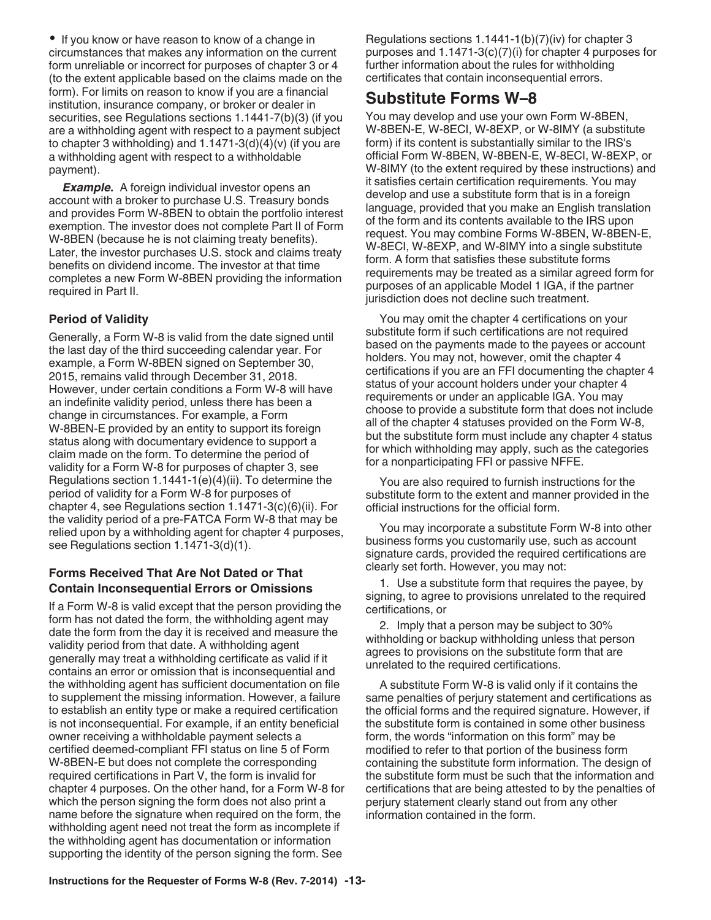<span id="page-12-0"></span>• If you know or have reason to know of a change in circumstances that makes any information on the current form unreliable or incorrect for purposes of chapter 3 or 4 (to the extent applicable based on the claims made on the form). For limits on reason to know if you are a financial institution, insurance company, or broker or dealer in securities, see Regulations sections 1.1441-7(b)(3) (if you are a withholding agent with respect to a payment subject to chapter 3 withholding) and  $1.1471-3(d)(4)(v)$  (if you are a withholding agent with respect to a withholdable payment).

**Example.** A foreign individual investor opens an account with a broker to purchase U.S. Treasury bonds and provides Form W-8BEN to obtain the portfolio interest exemption. The investor does not complete Part II of Form W-8BEN (because he is not claiming treaty benefits). Later, the investor purchases U.S. stock and claims treaty benefits on dividend income. The investor at that time completes a new Form W-8BEN providing the information required in Part II.

#### **Period of Validity**

Generally, a Form W-8 is valid from the date signed until the last day of the third succeeding calendar year. For example, a Form W-8BEN signed on September 30, 2015, remains valid through December 31, 2018. However, under certain conditions a Form W-8 will have an indefinite validity period, unless there has been a change in circumstances. For example, a Form W-8BEN-E provided by an entity to support its foreign status along with documentary evidence to support a claim made on the form. To determine the period of validity for a Form W-8 for purposes of chapter 3, see Regulations section 1.1441-1(e)(4)(ii). To determine the period of validity for a Form W-8 for purposes of chapter 4, see Regulations section 1.1471-3(c)(6)(ii). For the validity period of a pre-FATCA Form W-8 that may be relied upon by a withholding agent for chapter 4 purposes, see Regulations section 1.1471-3(d)(1).

#### **Forms Received That Are Not Dated or That Contain Inconsequential Errors or Omissions**

If a Form W-8 is valid except that the person providing the form has not dated the form, the withholding agent may date the form from the day it is received and measure the validity period from that date. A withholding agent generally may treat a withholding certificate as valid if it contains an error or omission that is inconsequential and the withholding agent has sufficient documentation on file to supplement the missing information. However, a failure to establish an entity type or make a required certification is not inconsequential. For example, if an entity beneficial owner receiving a withholdable payment selects a certified deemed-compliant FFI status on line 5 of Form W-8BEN-E but does not complete the corresponding required certifications in Part V, the form is invalid for chapter 4 purposes. On the other hand, for a Form W-8 for which the person signing the form does not also print a name before the signature when required on the form, the withholding agent need not treat the form as incomplete if the withholding agent has documentation or information supporting the identity of the person signing the form. See

Regulations sections 1.1441-1(b)(7)(iv) for chapter 3 purposes and 1.1471-3(c)(7)(i) for chapter 4 purposes for further information about the rules for withholding certificates that contain inconsequential errors.

### **Substitute Forms W–8**

You may develop and use your own Form W-8BEN, W-8BEN-E, W-8ECI, W-8EXP, or W-8IMY (a substitute form) if its content is substantially similar to the IRS's official Form W-8BEN, W-8BEN-E, W-8ECI, W-8EXP, or W-8IMY (to the extent required by these instructions) and it satisfies certain certification requirements. You may develop and use a substitute form that is in a foreign language, provided that you make an English translation of the form and its contents available to the IRS upon request. You may combine Forms W-8BEN, W-8BEN-E, W-8ECI, W-8EXP, and W-8IMY into a single substitute form. A form that satisfies these substitute forms requirements may be treated as a similar agreed form for purposes of an applicable Model 1 IGA, if the partner jurisdiction does not decline such treatment.

You may omit the chapter 4 certifications on your substitute form if such certifications are not required based on the payments made to the payees or account holders. You may not, however, omit the chapter 4 certifications if you are an FFI documenting the chapter 4 status of your account holders under your chapter 4 requirements or under an applicable IGA. You may choose to provide a substitute form that does not include all of the chapter 4 statuses provided on the Form W-8, but the substitute form must include any chapter 4 status for which withholding may apply, such as the categories for a nonparticipating FFI or passive NFFE.

You are also required to furnish instructions for the substitute form to the extent and manner provided in the official instructions for the official form.

You may incorporate a substitute Form W-8 into other business forms you customarily use, such as account signature cards, provided the required certifications are clearly set forth. However, you may not:

1. Use a substitute form that requires the payee, by signing, to agree to provisions unrelated to the required certifications, or

2. Imply that a person may be subject to 30% withholding or backup withholding unless that person agrees to provisions on the substitute form that are unrelated to the required certifications.

A substitute Form W-8 is valid only if it contains the same penalties of perjury statement and certifications as the official forms and the required signature. However, if the substitute form is contained in some other business form, the words "information on this form" may be modified to refer to that portion of the business form containing the substitute form information. The design of the substitute form must be such that the information and certifications that are being attested to by the penalties of perjury statement clearly stand out from any other information contained in the form.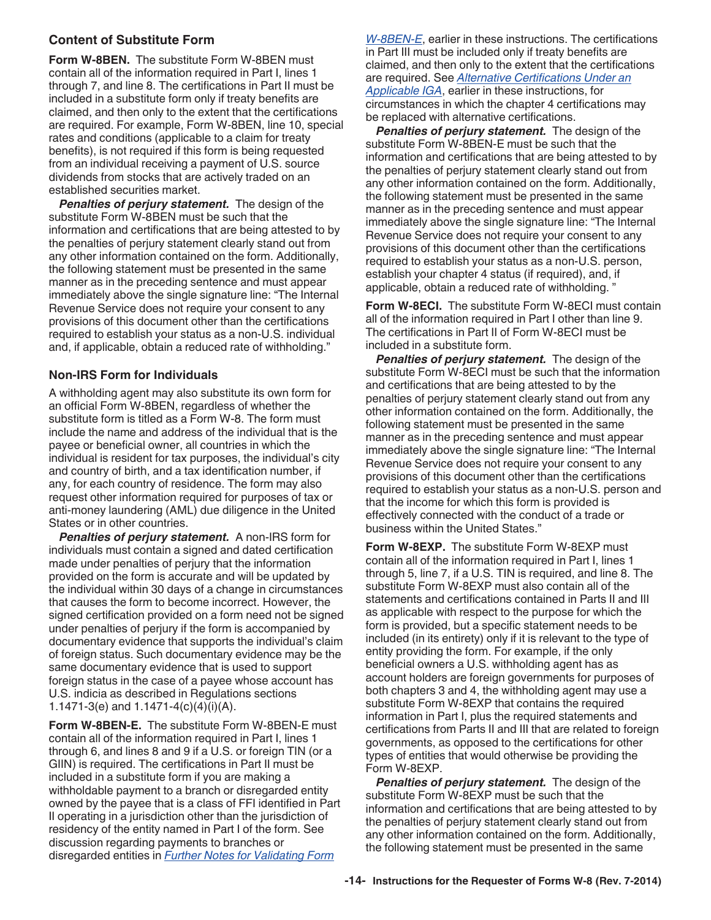#### **Content of Substitute Form**

**Form W-8BEN.** The substitute Form W-8BEN must contain all of the information required in Part I, lines 1 through 7, and line 8. The certifications in Part II must be included in a substitute form only if treaty benefits are claimed, and then only to the extent that the certifications are required. For example, Form W-8BEN, line 10, special rates and conditions (applicable to a claim for treaty benefits), is not required if this form is being requested from an individual receiving a payment of U.S. source dividends from stocks that are actively traded on an established securities market.

**Penalties of perjury statement.** The design of the substitute Form W-8BEN must be such that the information and certifications that are being attested to by the penalties of perjury statement clearly stand out from any other information contained on the form. Additionally, the following statement must be presented in the same manner as in the preceding sentence and must appear immediately above the single signature line: "The Internal Revenue Service does not require your consent to any provisions of this document other than the certifications required to establish your status as a non-U.S. individual and, if applicable, obtain a reduced rate of withholding."

#### **Non-IRS Form for Individuals**

A withholding agent may also substitute its own form for an official Form W-8BEN, regardless of whether the substitute form is titled as a Form W-8. The form must include the name and address of the individual that is the payee or beneficial owner, all countries in which the individual is resident for tax purposes, the individual's city and country of birth, and a tax identification number, if any, for each country of residence. The form may also request other information required for purposes of tax or anti-money laundering (AML) due diligence in the United States or in other countries.

*Penalties of perjury statement.* A non-IRS form for individuals must contain a signed and dated certification made under penalties of perjury that the information provided on the form is accurate and will be updated by the individual within 30 days of a change in circumstances that causes the form to become incorrect. However, the signed certification provided on a form need not be signed under penalties of perjury if the form is accompanied by documentary evidence that supports the individual's claim of foreign status. Such documentary evidence may be the same documentary evidence that is used to support foreign status in the case of a payee whose account has U.S. indicia as described in Regulations sections 1.1471-3(e) and 1.1471-4(c)(4)(i)(A).

**Form W-8BEN-E.** The substitute Form W-8BEN-E must contain all of the information required in Part I, lines 1 through 6, and lines 8 and 9 if a U.S. or foreign TIN (or a GIIN) is required. The certifications in Part II must be included in a substitute form if you are making a withholdable payment to a branch or disregarded entity owned by the payee that is a class of FFI identified in Part II operating in a jurisdiction other than the jurisdiction of residency of the entity named in Part I of the form. See discussion regarding payments to branches or disregarded entities in *[Further Notes for Validating Form](#page-6-0)* 

*[W-8BEN-E](#page-6-0)*, earlier in these instructions. The certifications in Part III must be included only if treaty benefits are claimed, and then only to the extent that the certifications are required. See *[Alternative Certifications Under an](#page-5-0)  [Applicable IGA](#page-5-0)*, earlier in these instructions, for circumstances in which the chapter 4 certifications may be replaced with alternative certifications.

**Penalties of perjury statement.** The design of the substitute Form W-8BEN-E must be such that the information and certifications that are being attested to by the penalties of perjury statement clearly stand out from any other information contained on the form. Additionally, the following statement must be presented in the same manner as in the preceding sentence and must appear immediately above the single signature line: "The Internal Revenue Service does not require your consent to any provisions of this document other than the certifications required to establish your status as a non-U.S. person, establish your chapter 4 status (if required), and, if applicable, obtain a reduced rate of withholding. "

**Form W-8ECI.** The substitute Form W-8ECI must contain all of the information required in Part I other than line 9. The certifications in Part II of Form W-8ECI must be included in a substitute form.

**Penalties of perjury statement.** The design of the substitute Form W-8ECI must be such that the information and certifications that are being attested to by the penalties of perjury statement clearly stand out from any other information contained on the form. Additionally, the following statement must be presented in the same manner as in the preceding sentence and must appear immediately above the single signature line: "The Internal Revenue Service does not require your consent to any provisions of this document other than the certifications required to establish your status as a non-U.S. person and that the income for which this form is provided is effectively connected with the conduct of a trade or business within the United States."

**Form W-8EXP.** The substitute Form W-8EXP must contain all of the information required in Part I, lines 1 through 5, line 7, if a U.S. TIN is required, and line 8. The substitute Form W-8EXP must also contain all of the statements and certifications contained in Parts II and III as applicable with respect to the purpose for which the form is provided, but a specific statement needs to be included (in its entirety) only if it is relevant to the type of entity providing the form. For example, if the only beneficial owners a U.S. withholding agent has as account holders are foreign governments for purposes of both chapters 3 and 4, the withholding agent may use a substitute Form W-8EXP that contains the required information in Part I, plus the required statements and certifications from Parts II and III that are related to foreign governments, as opposed to the certifications for other types of entities that would otherwise be providing the Form W-8EXP.

**Penalties of perjury statement.** The design of the substitute Form W-8EXP must be such that the information and certifications that are being attested to by the penalties of perjury statement clearly stand out from any other information contained on the form. Additionally, the following statement must be presented in the same